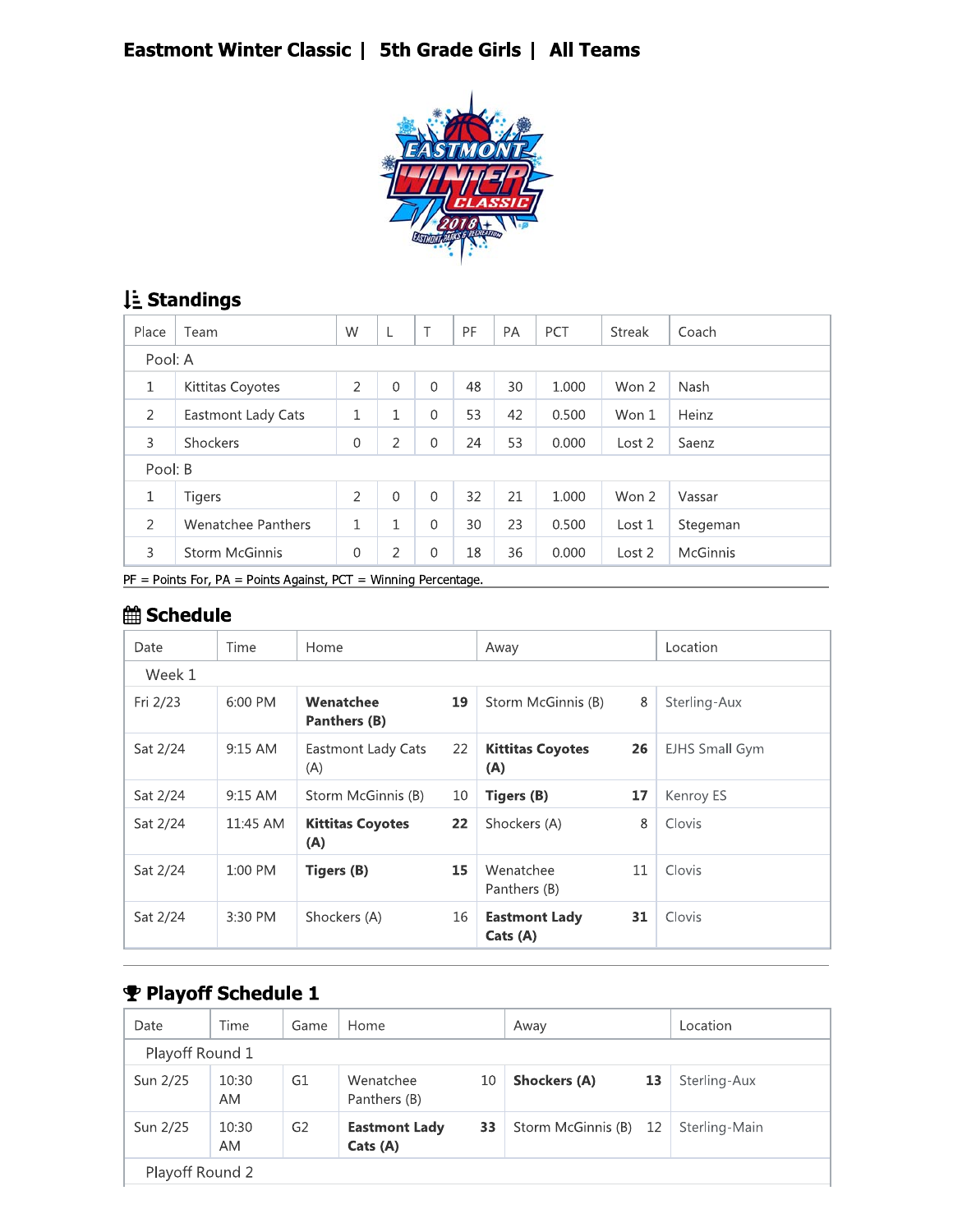### Eastmont Winter Classic | 5th Grade Girls | All Teams



# Li Standings

| Place          | Team               | W            | L            | Τ            | PF | <b>PA</b> | PCT   | <b>Streak</b> | Coach    |  |
|----------------|--------------------|--------------|--------------|--------------|----|-----------|-------|---------------|----------|--|
|                | Pool: A            |              |              |              |    |           |       |               |          |  |
| 1              | Kittitas Coyotes   | 2            | $\Omega$     | $\Omega$     | 48 | 30        | 1.000 | Won 2         | Nash     |  |
| 2              | Eastmont Lady Cats | $\mathbf 1$  | 1            | $\Omega$     | 53 | 42        | 0.500 | Won 1         | Heinz    |  |
| 3              | Shockers           | $\mathbf 0$  | 2            | $\mathbf{0}$ | 24 | 53        | 0.000 | Lost 2        | Saenz    |  |
| Pool: B        |                    |              |              |              |    |           |       |               |          |  |
| 1              | <b>Tigers</b>      | 2            | $\Omega$     | $\Omega$     | 32 | 21        | 1.000 | Won 2         | Vassar   |  |
| $\overline{2}$ | Wenatchee Panthers | $\mathbf{1}$ | $\mathbf{1}$ | $\mathbf{0}$ | 30 | 23        | 0.500 | Lost 1        | Stegeman |  |
| 3              | Storm McGinnis     | $\mathbf 0$  | 2            | $\mathbf{0}$ | 18 | 36        | 0.000 | Lost 2        | McGinnis |  |

 $PF =$  Points For, PA = Points Against, PCT = Winning Percentage.

# *<u>i</u>* Schedule

| Date     | Time      | Home                           |                   | Away                             |    | Location              |
|----------|-----------|--------------------------------|-------------------|----------------------------------|----|-----------------------|
| Week 1   |           |                                |                   |                                  |    |                       |
| Fri 2/23 | 6:00 PM   | Wenatchee<br>Panthers (B)      | 19                | Storm McGinnis (B)               | 8  | Sterling-Aux          |
| Sat 2/24 | $9:15$ AM | Eastmont Lady Cats<br>(A)      | 22                | <b>Kittitas Coyotes</b><br>(A)   | 26 | <b>EJHS Small Gym</b> |
| Sat 2/24 | $9:15$ AM | Storm McGinnis (B)             | 10                | Tigers (B)                       | 17 | Kenroy ES             |
| Sat 2/24 | 11:45 AM  | <b>Kittitas Coyotes</b><br>(A) | $22 \overline{ }$ | Shockers (A)                     | 8  | Clovis                |
| Sat 2/24 | 1:00 PM   | Tigers (B)                     | 15                | Wenatchee<br>Panthers (B)        | 11 | Clovis                |
| Sat 2/24 | 3:30 PM   | Shockers (A)                   | 16                | <b>Eastmont Lady</b><br>Cats (A) | 31 | Clovis                |

### Playoff Schedule 1

| Date            | Time               | Game           | Home                             |    | Away                  |    | Location      |  |  |
|-----------------|--------------------|----------------|----------------------------------|----|-----------------------|----|---------------|--|--|
| Playoff Round 1 |                    |                |                                  |    |                       |    |               |  |  |
| Sun 2/25        | 10:30<br><b>AM</b> | G1             | Wenatchee<br>Panthers (B)        | 10 | <b>Shockers (A)</b>   | 13 | Sterling-Aux  |  |  |
| Sun 2/25        | 10:30<br><b>AM</b> | G <sub>2</sub> | <b>Eastmont Lady</b><br>Cats (A) | 33 | Storm McGinnis (B) 12 |    | Sterling-Main |  |  |
| Playoff Round 2 |                    |                |                                  |    |                       |    |               |  |  |